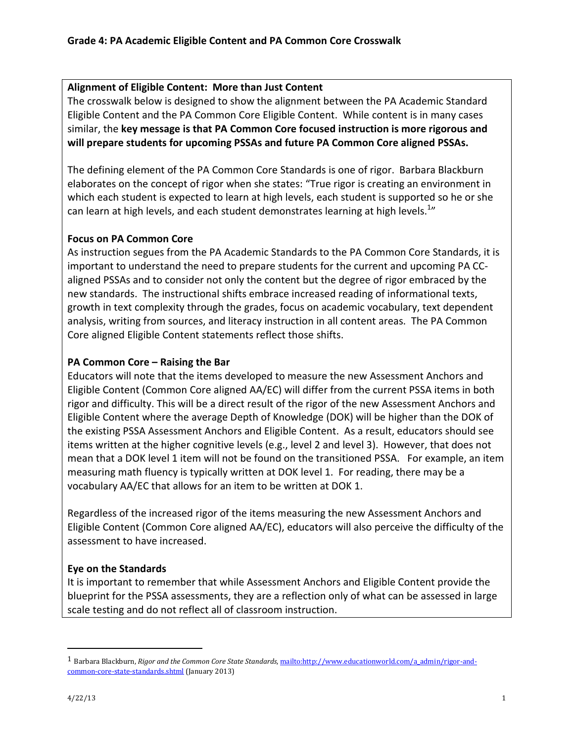## Alignment of Eligible Content: More than Just Content

The crosswalk below is designed to show the alignment between the PA Academic Standard Eligible Content and the PA Common Core Eligible Content. While content is in many cases similar, the key message is that PA Common Core focused instruction is more rigorous and will prepare students for upcoming PSSAs and future PA Common Core aligned PSSAs.

The defining element of the PA Common Core Standards is one of rigor. Barbara Blackburn elaborates on the concept of rigor when she states: "True rigor is creating an environment in which each student is expected to learn at high levels, each student is supported so he or she can learn at high levels, and each student demonstrates learning at high levels. $^{1n}$ 

## Focus on PA Common Core

As instruction segues from the PA Academic Standards to the PA Common Core Standards, it is important to understand the need to prepare students for the current and upcoming PA CCaligned PSSAs and to consider not only the content but the degree of rigor embraced by the new standards. The instructional shifts embrace increased reading of informational texts, growth in text complexity through the grades, focus on academic vocabulary, text dependent analysis, writing from sources, and literacy instruction in all content areas. The PA Common Core aligned Eligible Content statements reflect those shifts.

## PA Common Core – Raising the Bar

Educators will note that the items developed to measure the new Assessment Anchors and Eligible Content (Common Core aligned AA/EC) will differ from the current PSSA items in both rigor and difficulty. This will be a direct result of the rigor of the new Assessment Anchors and Eligible Content where the average Depth of Knowledge (DOK) will be higher than the DOK of the existing PSSA Assessment Anchors and Eligible Content. As a result, educators should see items written at the higher cognitive levels (e.g., level 2 and level 3). However, that does not mean that a DOK level 1 item will not be found on the transitioned PSSA. For example, an item measuring math fluency is typically written at DOK level 1. For reading, there may be a vocabulary AA/EC that allows for an item to be written at DOK 1.

Regardless of the increased rigor of the items measuring the new Assessment Anchors and Eligible Content (Common Core aligned AA/EC), educators will also perceive the difficulty of the assessment to have increased.

## Eye on the Standards

It is important to remember that while Assessment Anchors and Eligible Content provide the blueprint for the PSSA assessments, they are a reflection only of what can be assessed in large scale testing and do not reflect all of classroom instruction.

 $\overline{a}$ 

<sup>&</sup>lt;sup>1</sup> Barbara Blackburn, Rigor and the Common Core State Standards, mailto:http://www.educationworld.com/a\_admin/rigor-andcommon-core-state-standards.shtml (January 2013)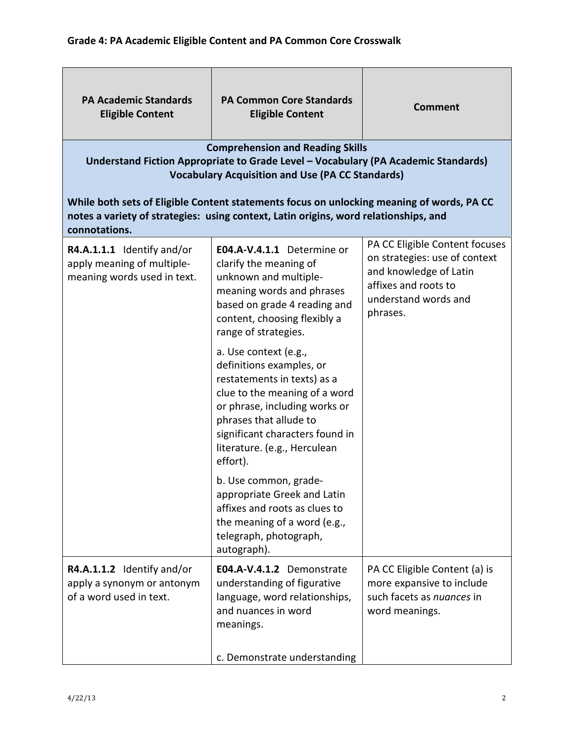| <b>PA Academic Standards</b><br><b>Eligible Content</b>                                 | <b>PA Common Core Standards</b><br><b>Eligible Content</b>                                                                                                                                                                                                  | <b>Comment</b>                                                                                                                                        |
|-----------------------------------------------------------------------------------------|-------------------------------------------------------------------------------------------------------------------------------------------------------------------------------------------------------------------------------------------------------------|-------------------------------------------------------------------------------------------------------------------------------------------------------|
|                                                                                         | <b>Comprehension and Reading Skills</b><br>Understand Fiction Appropriate to Grade Level - Vocabulary (PA Academic Standards)<br><b>Vocabulary Acquisition and Use (PA CC Standards)</b>                                                                    |                                                                                                                                                       |
| connotations.                                                                           | While both sets of Eligible Content statements focus on unlocking meaning of words, PA CC<br>notes a variety of strategies: using context, Latin origins, word relationships, and                                                                           |                                                                                                                                                       |
| R4.A.1.1.1 Identify and/or<br>apply meaning of multiple-<br>meaning words used in text. | E04.A-V.4.1.1 Determine or<br>clarify the meaning of<br>unknown and multiple-<br>meaning words and phrases<br>based on grade 4 reading and<br>content, choosing flexibly a<br>range of strategies.                                                          | PA CC Eligible Content focuses<br>on strategies: use of context<br>and knowledge of Latin<br>affixes and roots to<br>understand words and<br>phrases. |
|                                                                                         | a. Use context (e.g.,<br>definitions examples, or<br>restatements in texts) as a<br>clue to the meaning of a word<br>or phrase, including works or<br>phrases that allude to<br>significant characters found in<br>literature. (e.g., Herculean<br>effort). |                                                                                                                                                       |
|                                                                                         | b. Use common, grade-<br>appropriate Greek and Latin<br>affixes and roots as clues to<br>the meaning of a word (e.g.,<br>telegraph, photograph,<br>autograph).                                                                                              |                                                                                                                                                       |
| R4.A.1.1.2 Identify and/or<br>apply a synonym or antonym<br>of a word used in text.     | E04.A-V.4.1.2 Demonstrate<br>understanding of figurative<br>language, word relationships,<br>and nuances in word<br>meanings.                                                                                                                               | PA CC Eligible Content (a) is<br>more expansive to include<br>such facets as nuances in<br>word meanings.                                             |
|                                                                                         | c. Demonstrate understanding                                                                                                                                                                                                                                |                                                                                                                                                       |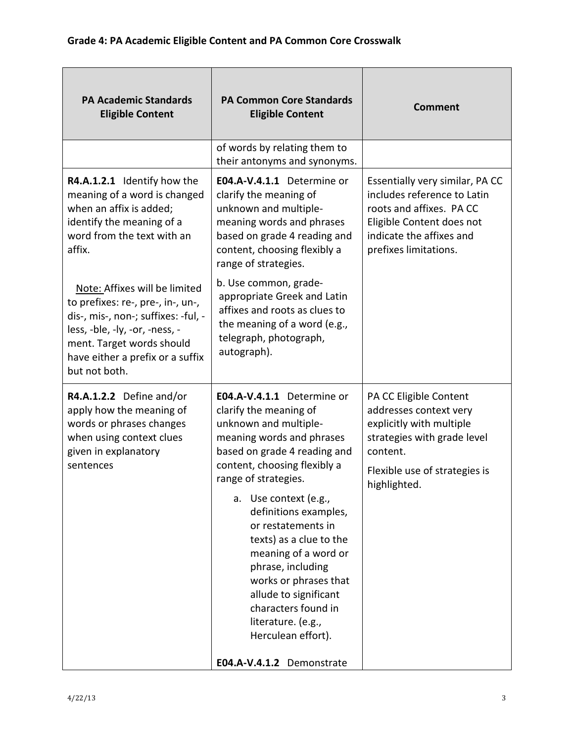| <b>PA Academic Standards</b><br><b>Eligible Content</b>                                                                                                                                                                       | <b>PA Common Core Standards</b><br><b>Eligible Content</b>                                                                                                                                                                                                                                                                                                                                                                                                                                           | <b>Comment</b>                                                                                                                                                               |
|-------------------------------------------------------------------------------------------------------------------------------------------------------------------------------------------------------------------------------|------------------------------------------------------------------------------------------------------------------------------------------------------------------------------------------------------------------------------------------------------------------------------------------------------------------------------------------------------------------------------------------------------------------------------------------------------------------------------------------------------|------------------------------------------------------------------------------------------------------------------------------------------------------------------------------|
|                                                                                                                                                                                                                               | of words by relating them to<br>their antonyms and synonyms.                                                                                                                                                                                                                                                                                                                                                                                                                                         |                                                                                                                                                                              |
| R4.A.1.2.1 Identify how the<br>meaning of a word is changed<br>when an affix is added;<br>identify the meaning of a<br>word from the text with an<br>affix.                                                                   | E04.A-V.4.1.1 Determine or<br>clarify the meaning of<br>unknown and multiple-<br>meaning words and phrases<br>based on grade 4 reading and<br>content, choosing flexibly a<br>range of strategies.                                                                                                                                                                                                                                                                                                   | Essentially very similar, PA CC<br>includes reference to Latin<br>roots and affixes. PA CC<br>Eligible Content does not<br>indicate the affixes and<br>prefixes limitations. |
| Note: Affixes will be limited<br>to prefixes: re-, pre-, in-, un-,<br>dis-, mis-, non-; suffixes: -ful, -<br>less, -ble, -ly, -or, -ness, -<br>ment. Target words should<br>have either a prefix or a suffix<br>but not both. | b. Use common, grade-<br>appropriate Greek and Latin<br>affixes and roots as clues to<br>the meaning of a word (e.g.,<br>telegraph, photograph,<br>autograph).                                                                                                                                                                                                                                                                                                                                       |                                                                                                                                                                              |
| R4.A.1.2.2 Define and/or<br>apply how the meaning of<br>words or phrases changes<br>when using context clues<br>given in explanatory<br>sentences                                                                             | E04.A-V.4.1.1 Determine or<br>clarify the meaning of<br>unknown and multiple-<br>meaning words and phrases<br>based on grade 4 reading and<br>content, choosing flexibly a<br>range of strategies.<br>a. Use context (e.g.,<br>definitions examples,<br>or restatements in<br>texts) as a clue to the<br>meaning of a word or<br>phrase, including<br>works or phrases that<br>allude to significant<br>characters found in<br>literature. (e.g.,<br>Herculean effort).<br>E04.A-V.4.1.2 Demonstrate | PA CC Eligible Content<br>addresses context very<br>explicitly with multiple<br>strategies with grade level<br>content.<br>Flexible use of strategies is<br>highlighted.     |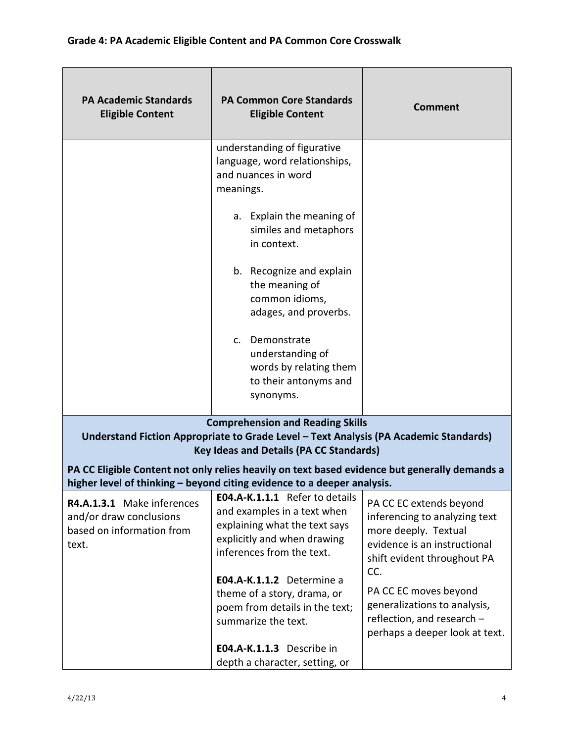| <b>PA Academic Standards</b><br><b>Eligible Content</b>                                     | <b>PA Common Core Standards</b><br><b>Eligible Content</b>                                                                                                                                                                                                                          | <b>Comment</b>                                                                                                                                  |
|---------------------------------------------------------------------------------------------|-------------------------------------------------------------------------------------------------------------------------------------------------------------------------------------------------------------------------------------------------------------------------------------|-------------------------------------------------------------------------------------------------------------------------------------------------|
|                                                                                             | understanding of figurative<br>language, word relationships,<br>and nuances in word<br>meanings.                                                                                                                                                                                    |                                                                                                                                                 |
|                                                                                             | a. Explain the meaning of<br>similes and metaphors<br>in context.                                                                                                                                                                                                                   |                                                                                                                                                 |
|                                                                                             | b. Recognize and explain<br>the meaning of<br>common idioms,<br>adages, and proverbs.                                                                                                                                                                                               |                                                                                                                                                 |
|                                                                                             | c. Demonstrate<br>understanding of<br>words by relating them<br>to their antonyms and<br>synonyms.                                                                                                                                                                                  |                                                                                                                                                 |
|                                                                                             | <b>Comprehension and Reading Skills</b><br>Understand Fiction Appropriate to Grade Level - Text Analysis (PA Academic Standards)<br><b>Key Ideas and Details (PA CC Standards)</b><br>PA CC Eligible Content not only relies heavily on text based evidence but generally demands a |                                                                                                                                                 |
|                                                                                             | higher level of thinking - beyond citing evidence to a deeper analysis.                                                                                                                                                                                                             |                                                                                                                                                 |
| R4.A.1.3.1 Make inferences<br>and/or draw conclusions<br>based on information from<br>text. | E04.A-K.1.1.1 Refer to details<br>and examples in a text when<br>explaining what the text says<br>explicitly and when drawing<br>inferences from the text.                                                                                                                          | PA CC EC extends beyond<br>inferencing to analyzing text<br>more deeply. Textual<br>evidence is an instructional<br>shift evident throughout PA |
|                                                                                             | E04.A-K.1.1.2 Determine a<br>theme of a story, drama, or<br>poem from details in the text;<br>summarize the text.                                                                                                                                                                   | CC.<br>PA CC EC moves beyond<br>generalizations to analysis,<br>reflection, and research -<br>perhaps a deeper look at text.                    |
|                                                                                             | E04.A-K.1.1.3 Describe in<br>depth a character, setting, or                                                                                                                                                                                                                         |                                                                                                                                                 |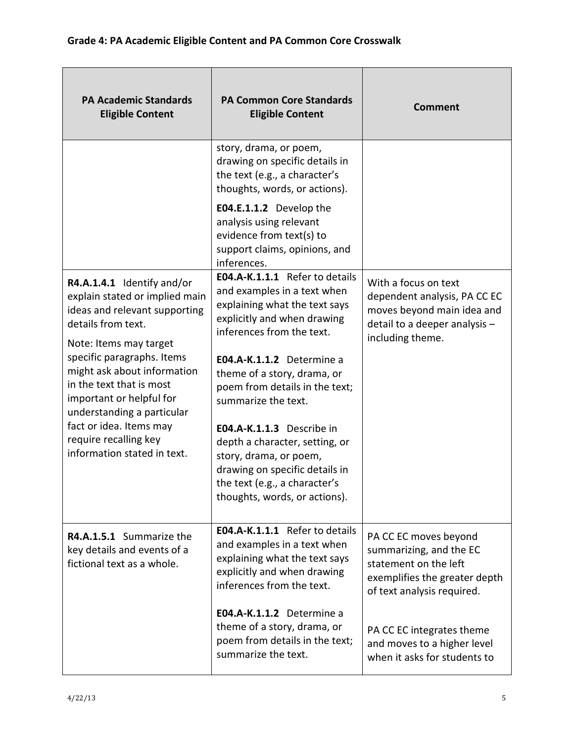| <b>PA Academic Standards</b><br><b>Eligible Content</b>                                                                                                                                                                                                                                                                                                                             | <b>PA Common Core Standards</b><br><b>Eligible Content</b>                                                                                                                                                                                                                                                                                                                                                                                                                   | <b>Comment</b>                                                                                                                                                                                                                       |
|-------------------------------------------------------------------------------------------------------------------------------------------------------------------------------------------------------------------------------------------------------------------------------------------------------------------------------------------------------------------------------------|------------------------------------------------------------------------------------------------------------------------------------------------------------------------------------------------------------------------------------------------------------------------------------------------------------------------------------------------------------------------------------------------------------------------------------------------------------------------------|--------------------------------------------------------------------------------------------------------------------------------------------------------------------------------------------------------------------------------------|
|                                                                                                                                                                                                                                                                                                                                                                                     | story, drama, or poem,<br>drawing on specific details in<br>the text (e.g., a character's<br>thoughts, words, or actions).<br>E04.E.1.1.2 Develop the<br>analysis using relevant<br>evidence from text(s) to<br>support claims, opinions, and<br>inferences.                                                                                                                                                                                                                 |                                                                                                                                                                                                                                      |
| R4.A.1.4.1 Identify and/or<br>explain stated or implied main<br>ideas and relevant supporting<br>details from text.<br>Note: Items may target<br>specific paragraphs. Items<br>might ask about information<br>in the text that is most<br>important or helpful for<br>understanding a particular<br>fact or idea. Items may<br>require recalling key<br>information stated in text. | E04.A-K.1.1.1 Refer to details<br>and examples in a text when<br>explaining what the text says<br>explicitly and when drawing<br>inferences from the text.<br>E04.A-K.1.1.2 Determine a<br>theme of a story, drama, or<br>poem from details in the text;<br>summarize the text.<br>E04.A-K.1.1.3 Describe in<br>depth a character, setting, or<br>story, drama, or poem,<br>drawing on specific details in<br>the text (e.g., a character's<br>thoughts, words, or actions). | With a focus on text<br>dependent analysis, PA CC EC<br>moves beyond main idea and<br>detail to a deeper analysis -<br>including theme.                                                                                              |
| R4.A.1.5.1 Summarize the<br>key details and events of a<br>fictional text as a whole.                                                                                                                                                                                                                                                                                               | E04.A-K.1.1.1 Refer to details<br>and examples in a text when<br>explaining what the text says<br>explicitly and when drawing<br>inferences from the text.<br>E04.A-K.1.1.2 Determine a<br>theme of a story, drama, or<br>poem from details in the text;<br>summarize the text.                                                                                                                                                                                              | PA CC EC moves beyond<br>summarizing, and the EC<br>statement on the left<br>exemplifies the greater depth<br>of text analysis required.<br>PA CC EC integrates theme<br>and moves to a higher level<br>when it asks for students to |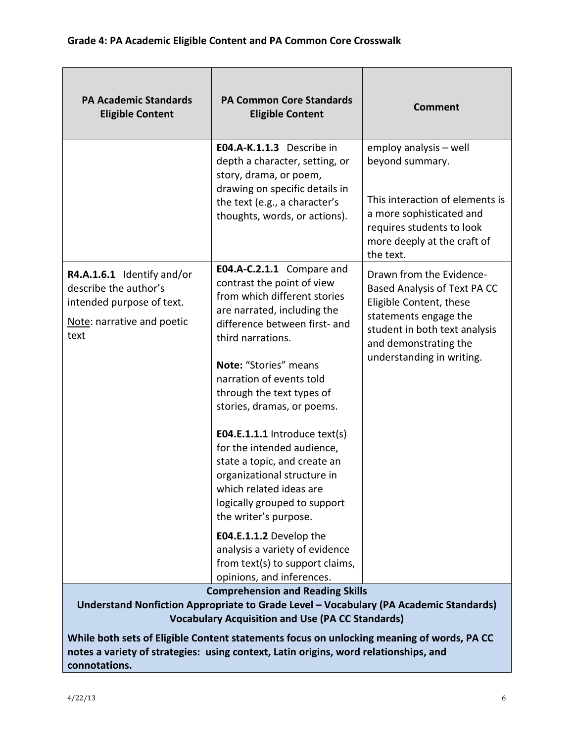| <b>PA Academic Standards</b><br><b>Eligible Content</b>                                                                                                                                                                                                                                  | <b>PA Common Core Standards</b><br><b>Eligible Content</b>                                                                                                                                                                                                                                                                                                                                                                                                                                                                                                                                                                                    | <b>Comment</b>                                                                                                                                                                                      |
|------------------------------------------------------------------------------------------------------------------------------------------------------------------------------------------------------------------------------------------------------------------------------------------|-----------------------------------------------------------------------------------------------------------------------------------------------------------------------------------------------------------------------------------------------------------------------------------------------------------------------------------------------------------------------------------------------------------------------------------------------------------------------------------------------------------------------------------------------------------------------------------------------------------------------------------------------|-----------------------------------------------------------------------------------------------------------------------------------------------------------------------------------------------------|
|                                                                                                                                                                                                                                                                                          | E04.A-K.1.1.3 Describe in<br>depth a character, setting, or<br>story, drama, or poem,<br>drawing on specific details in<br>the text (e.g., a character's<br>thoughts, words, or actions).                                                                                                                                                                                                                                                                                                                                                                                                                                                     | employ analysis - well<br>beyond summary.<br>This interaction of elements is<br>a more sophisticated and<br>requires students to look<br>more deeply at the craft of<br>the text.                   |
| R4.A.1.6.1 Identify and/or<br>describe the author's<br>intended purpose of text.<br>Note: narrative and poetic<br>text                                                                                                                                                                   | E04.A-C.2.1.1 Compare and<br>contrast the point of view<br>from which different stories<br>are narrated, including the<br>difference between first- and<br>third narrations.<br>Note: "Stories" means<br>narration of events told<br>through the text types of<br>stories, dramas, or poems.<br>E04.E.1.1.1 Introduce $text(s)$<br>for the intended audience,<br>state a topic, and create an<br>organizational structure in<br>which related ideas are<br>logically grouped to support<br>the writer's purpose.<br>E04.E.1.1.2 Develop the<br>analysis a variety of evidence<br>from text(s) to support claims,<br>opinions, and inferences. | Drawn from the Evidence-<br>Based Analysis of Text PA CC<br>Eligible Content, these<br>statements engage the<br>student in both text analysis<br>and demonstrating the<br>understanding in writing. |
| <b>Comprehension and Reading Skills</b><br>Understand Nonfiction Appropriate to Grade Level - Vocabulary (PA Academic Standards)<br><b>Vocabulary Acquisition and Use (PA CC Standards)</b><br>While both sets of Eligible Content statements focus on unlocking meaning of words, PA CC |                                                                                                                                                                                                                                                                                                                                                                                                                                                                                                                                                                                                                                               |                                                                                                                                                                                                     |

notes a variety of strategies: using context, Latin origins, word relationships, and connotations.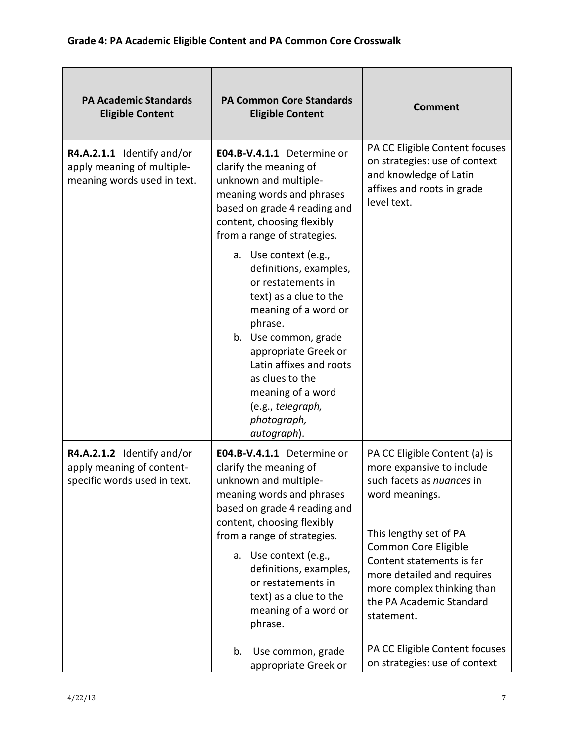| <b>PA Academic Standards</b><br><b>Eligible Content</b>                                 | <b>PA Common Core Standards</b><br><b>Eligible Content</b>                                                                                                                                                                                                                                                                                    | <b>Comment</b>                                                                                                                                                                                                                                                                                 |
|-----------------------------------------------------------------------------------------|-----------------------------------------------------------------------------------------------------------------------------------------------------------------------------------------------------------------------------------------------------------------------------------------------------------------------------------------------|------------------------------------------------------------------------------------------------------------------------------------------------------------------------------------------------------------------------------------------------------------------------------------------------|
| R4.A.2.1.1 Identify and/or<br>apply meaning of multiple-<br>meaning words used in text. | E04.B-V.4.1.1 Determine or<br>clarify the meaning of<br>unknown and multiple-<br>meaning words and phrases<br>based on grade 4 reading and<br>content, choosing flexibly<br>from a range of strategies.                                                                                                                                       | PA CC Eligible Content focuses<br>on strategies: use of context<br>and knowledge of Latin<br>affixes and roots in grade<br>level text.                                                                                                                                                         |
|                                                                                         | a. Use context (e.g.,<br>definitions, examples,<br>or restatements in<br>text) as a clue to the<br>meaning of a word or<br>phrase.<br>b. Use common, grade<br>appropriate Greek or<br>Latin affixes and roots<br>as clues to the<br>meaning of a word<br>(e.g., telegraph,<br>photograph,<br>autograph).                                      |                                                                                                                                                                                                                                                                                                |
| R4.A.2.1.2 Identify and/or<br>apply meaning of content-<br>specific words used in text. | E04.B-V.4.1.1 Determine or<br>clarify the meaning of<br>unknown and multiple-<br>meaning words and phrases<br>based on grade 4 reading and<br>content, choosing flexibly<br>from a range of strategies.<br>a. Use context (e.g.,<br>definitions, examples,<br>or restatements in<br>text) as a clue to the<br>meaning of a word or<br>phrase. | PA CC Eligible Content (a) is<br>more expansive to include<br>such facets as nuances in<br>word meanings.<br>This lengthy set of PA<br>Common Core Eligible<br>Content statements is far<br>more detailed and requires<br>more complex thinking than<br>the PA Academic Standard<br>statement. |
|                                                                                         | Use common, grade<br>b.<br>appropriate Greek or                                                                                                                                                                                                                                                                                               | PA CC Eligible Content focuses<br>on strategies: use of context                                                                                                                                                                                                                                |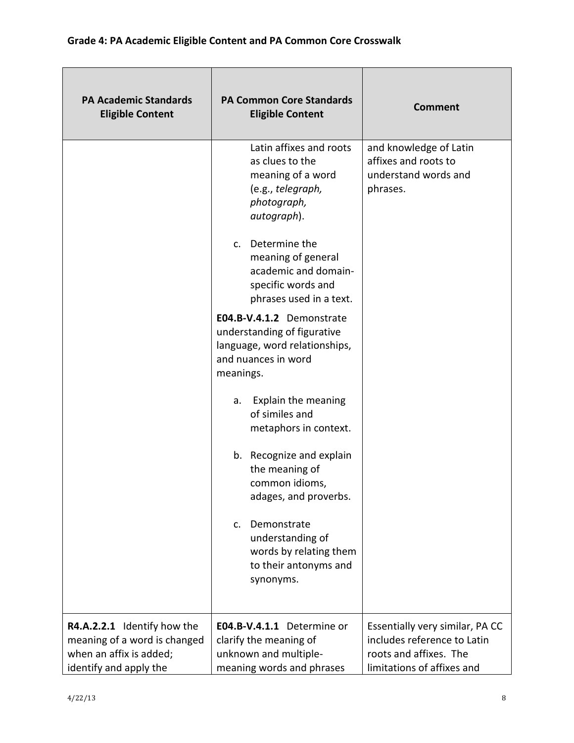| <b>PA Academic Standards</b><br><b>Eligible Content</b>                                                          | <b>PA Common Core Standards</b><br><b>Eligible Content</b>                                                                    | <b>Comment</b>                                                                                                         |
|------------------------------------------------------------------------------------------------------------------|-------------------------------------------------------------------------------------------------------------------------------|------------------------------------------------------------------------------------------------------------------------|
|                                                                                                                  | Latin affixes and roots<br>as clues to the<br>meaning of a word<br>(e.g., telegraph,<br>photograph,<br>autograph).            | and knowledge of Latin<br>affixes and roots to<br>understand words and<br>phrases.                                     |
|                                                                                                                  | c. Determine the<br>meaning of general<br>academic and domain-<br>specific words and<br>phrases used in a text.               |                                                                                                                        |
|                                                                                                                  | E04.B-V.4.1.2 Demonstrate<br>understanding of figurative<br>language, word relationships,<br>and nuances in word<br>meanings. |                                                                                                                        |
|                                                                                                                  | Explain the meaning<br>a.<br>of similes and<br>metaphors in context.                                                          |                                                                                                                        |
|                                                                                                                  | b. Recognize and explain<br>the meaning of<br>common idioms,<br>adages, and proverbs.                                         |                                                                                                                        |
|                                                                                                                  | Demonstrate<br>$\mathsf{C}$ .<br>understanding of<br>words by relating them<br>to their antonyms and<br>synonyms.             |                                                                                                                        |
| R4.A.2.2.1 Identify how the<br>meaning of a word is changed<br>when an affix is added;<br>identify and apply the | E04.B-V.4.1.1 Determine or<br>clarify the meaning of<br>unknown and multiple-<br>meaning words and phrases                    | Essentially very similar, PA CC<br>includes reference to Latin<br>roots and affixes. The<br>limitations of affixes and |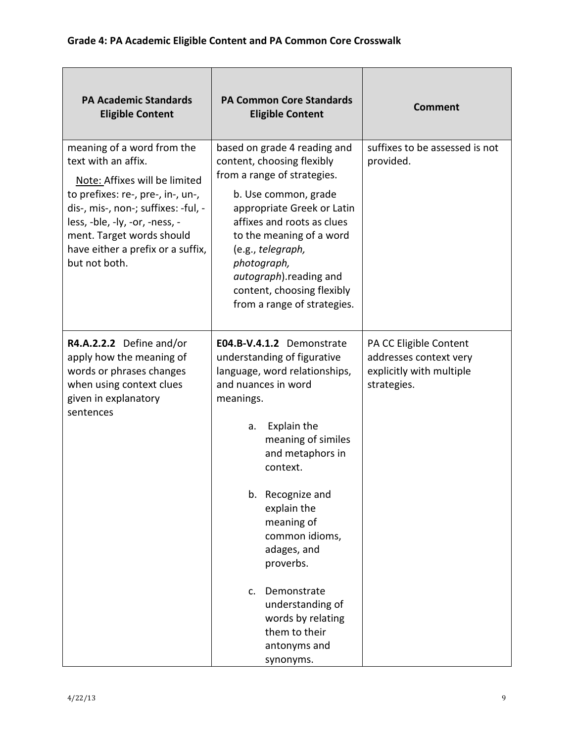| <b>PA Academic Standards</b><br><b>Eligible Content</b>                                                                                                                                                                                                                             | <b>PA Common Core Standards</b><br><b>Eligible Content</b>                                                                                                                                                                                                                                                                                                                                                                | <b>Comment</b>                                                                              |
|-------------------------------------------------------------------------------------------------------------------------------------------------------------------------------------------------------------------------------------------------------------------------------------|---------------------------------------------------------------------------------------------------------------------------------------------------------------------------------------------------------------------------------------------------------------------------------------------------------------------------------------------------------------------------------------------------------------------------|---------------------------------------------------------------------------------------------|
| meaning of a word from the<br>text with an affix.<br>Note: Affixes will be limited<br>to prefixes: re-, pre-, in-, un-,<br>dis-, mis-, non-; suffixes: -ful, -<br>less, -ble, -ly, -or, -ness, -<br>ment. Target words should<br>have either a prefix or a suffix,<br>but not both. | based on grade 4 reading and<br>content, choosing flexibly<br>from a range of strategies.<br>b. Use common, grade<br>appropriate Greek or Latin<br>affixes and roots as clues<br>to the meaning of a word<br>(e.g., telegraph,<br>photograph,<br>autograph).reading and<br>content, choosing flexibly<br>from a range of strategies.                                                                                      | suffixes to be assessed is not<br>provided.                                                 |
| R4.A.2.2.2 Define and/or<br>apply how the meaning of<br>words or phrases changes<br>when using context clues<br>given in explanatory<br>sentences                                                                                                                                   | E04.B-V.4.1.2 Demonstrate<br>understanding of figurative<br>language, word relationships,<br>and nuances in word<br>meanings.<br><b>Explain the</b><br>a.<br>meaning of similes<br>and metaphors in<br>context.<br>b. Recognize and<br>explain the<br>meaning of<br>common idioms,<br>adages, and<br>proverbs.<br>Demonstrate<br>$\mathsf{C}$ .<br>understanding of<br>words by relating<br>them to their<br>antonyms and | PA CC Eligible Content<br>addresses context very<br>explicitly with multiple<br>strategies. |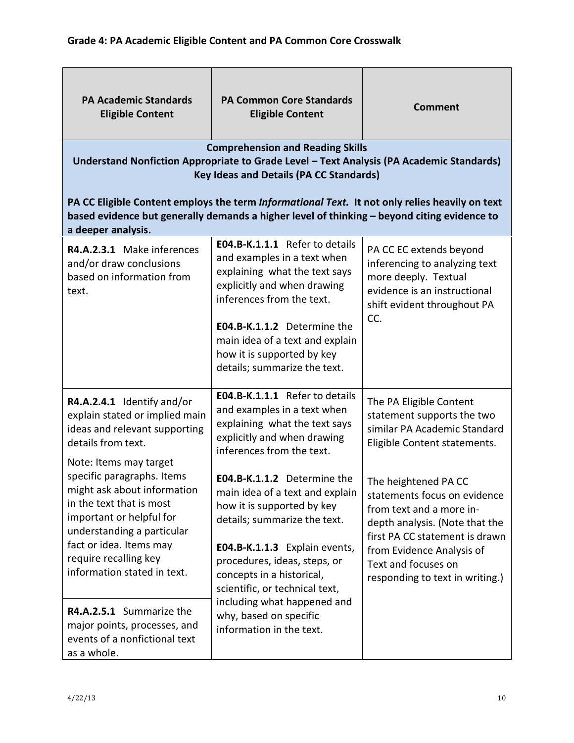| <b>PA Academic Standards</b><br><b>Eligible Content</b>                                                                                                                                                                            | <b>PA Common Core Standards</b><br><b>Eligible Content</b><br><b>Comprehension and Reading Skills</b>                                                                                                                                                                                      | <b>Comment</b>                                                                                                                                                                                                                              |
|------------------------------------------------------------------------------------------------------------------------------------------------------------------------------------------------------------------------------------|--------------------------------------------------------------------------------------------------------------------------------------------------------------------------------------------------------------------------------------------------------------------------------------------|---------------------------------------------------------------------------------------------------------------------------------------------------------------------------------------------------------------------------------------------|
|                                                                                                                                                                                                                                    | Understand Nonfiction Appropriate to Grade Level - Text Analysis (PA Academic Standards)<br><b>Key Ideas and Details (PA CC Standards)</b>                                                                                                                                                 |                                                                                                                                                                                                                                             |
| a deeper analysis.                                                                                                                                                                                                                 | PA CC Eligible Content employs the term Informational Text. It not only relies heavily on text<br>based evidence but generally demands a higher level of thinking - beyond citing evidence to                                                                                              |                                                                                                                                                                                                                                             |
| R4.A.2.3.1 Make inferences<br>and/or draw conclusions<br>based on information from<br>text.                                                                                                                                        | E04.B-K.1.1.1 Refer to details<br>and examples in a text when<br>explaining what the text says<br>explicitly and when drawing<br>inferences from the text.<br>E04.B-K.1.1.2 Determine the<br>main idea of a text and explain<br>how it is supported by key<br>details; summarize the text. | PA CC EC extends beyond<br>inferencing to analyzing text<br>more deeply. Textual<br>evidence is an instructional<br>shift evident throughout PA<br>CC.                                                                                      |
| R4.A.2.4.1 Identify and/or<br>explain stated or implied main<br>ideas and relevant supporting<br>details from text.<br>Note: Items may target                                                                                      | E04.B-K.1.1.1 Refer to details<br>and examples in a text when<br>explaining what the text says<br>explicitly and when drawing<br>inferences from the text.                                                                                                                                 | The PA Eligible Content<br>statement supports the two<br>similar PA Academic Standard<br>Eligible Content statements.                                                                                                                       |
| specific paragraphs. Items<br>might ask about information<br>in the text that is most<br>important or helpful for<br>understanding a particular<br>fact or idea. Items may<br>require recalling key<br>information stated in text. | E04.B-K.1.1.2 Determine the<br>main idea of a text and explain<br>how it is supported by key<br>details; summarize the text.<br>E04.B-K.1.1.3 Explain events,<br>procedures, ideas, steps, or<br>concepts in a historical,<br>scientific, or technical text,                               | The heightened PA CC<br>statements focus on evidence<br>from text and a more in-<br>depth analysis. (Note that the<br>first PA CC statement is drawn<br>from Evidence Analysis of<br>Text and focuses on<br>responding to text in writing.) |
| R4.A.2.5.1 Summarize the<br>major points, processes, and<br>events of a nonfictional text<br>as a whole.                                                                                                                           | including what happened and<br>why, based on specific<br>information in the text.                                                                                                                                                                                                          |                                                                                                                                                                                                                                             |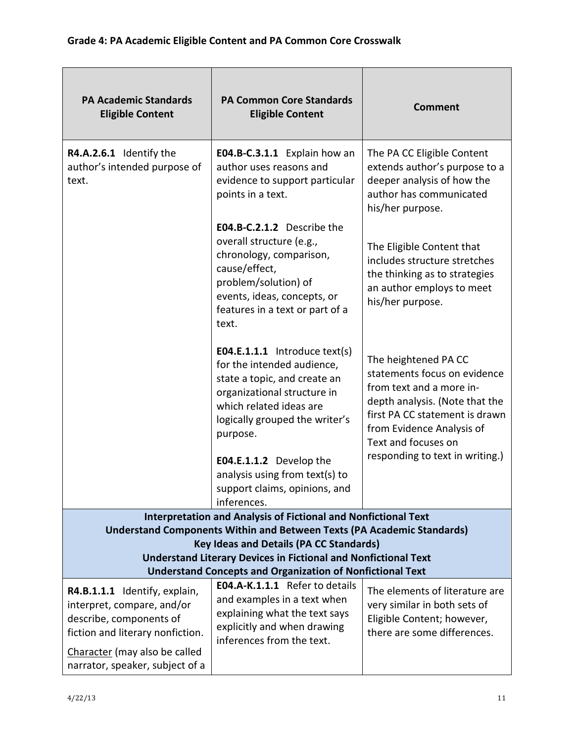| <b>PA Academic Standards</b><br><b>Eligible Content</b>                                                                    | <b>PA Common Core Standards</b><br><b>Eligible Content</b>                                                                                                                                                 | <b>Comment</b>                                                                                                                                                                                           |
|----------------------------------------------------------------------------------------------------------------------------|------------------------------------------------------------------------------------------------------------------------------------------------------------------------------------------------------------|----------------------------------------------------------------------------------------------------------------------------------------------------------------------------------------------------------|
| R4.A.2.6.1 Identify the<br>author's intended purpose of<br>text.                                                           | E04.B-C.3.1.1 Explain how an<br>author uses reasons and<br>evidence to support particular<br>points in a text.                                                                                             | The PA CC Eligible Content<br>extends author's purpose to a<br>deeper analysis of how the<br>author has communicated<br>his/her purpose.                                                                 |
|                                                                                                                            | E04.B-C.2.1.2 Describe the<br>overall structure (e.g.,<br>chronology, comparison,<br>cause/effect,<br>problem/solution) of<br>events, ideas, concepts, or<br>features in a text or part of a<br>text.      | The Eligible Content that<br>includes structure stretches<br>the thinking as to strategies<br>an author employs to meet<br>his/her purpose.                                                              |
|                                                                                                                            | <b>E04.E.1.1.1</b> Introduce text(s)<br>for the intended audience,<br>state a topic, and create an<br>organizational structure in<br>which related ideas are<br>logically grouped the writer's<br>purpose. | The heightened PA CC<br>statements focus on evidence<br>from text and a more in-<br>depth analysis. (Note that the<br>first PA CC statement is drawn<br>from Evidence Analysis of<br>Text and focuses on |
|                                                                                                                            | E04.E.1.1.2 Develop the<br>analysis using from text(s) to<br>support claims, opinions, and<br>inferences.                                                                                                  | responding to text in writing.)                                                                                                                                                                          |
|                                                                                                                            | Interpretation and Analysis of Fictional and Nonfictional Text                                                                                                                                             |                                                                                                                                                                                                          |
|                                                                                                                            | <b>Understand Components Within and Between Texts (PA Academic Standards)</b><br><b>Key Ideas and Details (PA CC Standards)</b>                                                                            |                                                                                                                                                                                                          |
|                                                                                                                            | <b>Understand Literary Devices in Fictional and Nonfictional Text</b>                                                                                                                                      |                                                                                                                                                                                                          |
|                                                                                                                            | <b>Understand Concepts and Organization of Nonfictional Text</b>                                                                                                                                           |                                                                                                                                                                                                          |
| R4.B.1.1.1 Identify, explain,<br>interpret, compare, and/or<br>describe, components of<br>fiction and literary nonfiction. | E04.A-K.1.1.1 Refer to details<br>and examples in a text when<br>explaining what the text says<br>explicitly and when drawing<br>inferences from the text.                                                 | The elements of literature are<br>very similar in both sets of<br>Eligible Content; however,<br>there are some differences.                                                                              |
| Character (may also be called<br>narrator, speaker, subject of a                                                           |                                                                                                                                                                                                            |                                                                                                                                                                                                          |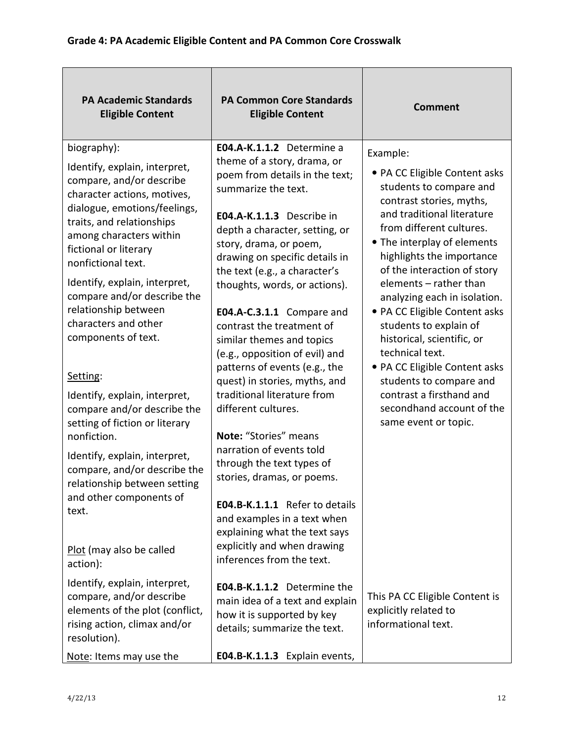| <b>PA Academic Standards</b><br><b>Eligible Content</b>                                                                                                                                                                                                                                                                                                                                                                                                                                                                                                                                                                                                                                         | <b>PA Common Core Standards</b><br><b>Eligible Content</b>                                                                                                                                                                                                                                                                                                                                                                                                                                                                                                                                                                                                                                                                                                                                                                                    | <b>Comment</b>                                                                                                                                                                                                                                                                                                                                                                                                                                                                                                                                                           |
|-------------------------------------------------------------------------------------------------------------------------------------------------------------------------------------------------------------------------------------------------------------------------------------------------------------------------------------------------------------------------------------------------------------------------------------------------------------------------------------------------------------------------------------------------------------------------------------------------------------------------------------------------------------------------------------------------|-----------------------------------------------------------------------------------------------------------------------------------------------------------------------------------------------------------------------------------------------------------------------------------------------------------------------------------------------------------------------------------------------------------------------------------------------------------------------------------------------------------------------------------------------------------------------------------------------------------------------------------------------------------------------------------------------------------------------------------------------------------------------------------------------------------------------------------------------|--------------------------------------------------------------------------------------------------------------------------------------------------------------------------------------------------------------------------------------------------------------------------------------------------------------------------------------------------------------------------------------------------------------------------------------------------------------------------------------------------------------------------------------------------------------------------|
| biography):<br>Identify, explain, interpret,<br>compare, and/or describe<br>character actions, motives,<br>dialogue, emotions/feelings,<br>traits, and relationships<br>among characters within<br>fictional or literary<br>nonfictional text.<br>Identify, explain, interpret,<br>compare and/or describe the<br>relationship between<br>characters and other<br>components of text.<br>Setting:<br>Identify, explain, interpret,<br>compare and/or describe the<br>setting of fiction or literary<br>nonfiction.<br>Identify, explain, interpret,<br>compare, and/or describe the<br>relationship between setting<br>and other components of<br>text.<br>Plot (may also be called<br>action): | E04.A-K.1.1.2 Determine a<br>theme of a story, drama, or<br>poem from details in the text;<br>summarize the text.<br>E04.A-K.1.1.3 Describe in<br>depth a character, setting, or<br>story, drama, or poem,<br>drawing on specific details in<br>the text (e.g., a character's<br>thoughts, words, or actions).<br>E04.A-C.3.1.1 Compare and<br>contrast the treatment of<br>similar themes and topics<br>(e.g., opposition of evil) and<br>patterns of events (e.g., the<br>quest) in stories, myths, and<br>traditional literature from<br>different cultures.<br>Note: "Stories" means<br>narration of events told<br>through the text types of<br>stories, dramas, or poems.<br>E04.B-K.1.1.1 Refer to details<br>and examples in a text when<br>explaining what the text says<br>explicitly and when drawing<br>inferences from the text. | Example:<br>• PA CC Eligible Content asks<br>students to compare and<br>contrast stories, myths,<br>and traditional literature<br>from different cultures.<br>• The interplay of elements<br>highlights the importance<br>of the interaction of story<br>elements - rather than<br>analyzing each in isolation.<br>• PA CC Eligible Content asks<br>students to explain of<br>historical, scientific, or<br>technical text.<br>• PA CC Eligible Content asks<br>students to compare and<br>contrast a firsthand and<br>secondhand account of the<br>same event or topic. |
| Identify, explain, interpret,<br>compare, and/or describe<br>elements of the plot (conflict,<br>rising action, climax and/or<br>resolution).<br>Note: Items may use the                                                                                                                                                                                                                                                                                                                                                                                                                                                                                                                         | E04.B-K.1.1.2 Determine the<br>main idea of a text and explain<br>how it is supported by key<br>details; summarize the text.<br>E04.B-K.1.1.3 Explain events,                                                                                                                                                                                                                                                                                                                                                                                                                                                                                                                                                                                                                                                                                 | This PA CC Eligible Content is<br>explicitly related to<br>informational text.                                                                                                                                                                                                                                                                                                                                                                                                                                                                                           |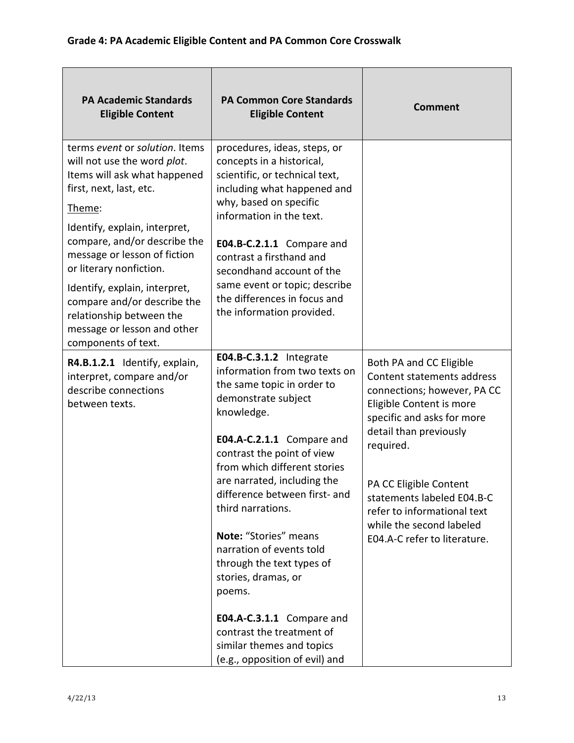| <b>PA Academic Standards</b><br><b>Eligible Content</b>                                                                                                                                                                                                                                                                                                                                                          | <b>PA Common Core Standards</b><br><b>Eligible Content</b>                                                                                                                                                                                                                                                                                                                                                                                                                                                                                              | <b>Comment</b>                                                                                                                                                                                                                                                                                                                           |
|------------------------------------------------------------------------------------------------------------------------------------------------------------------------------------------------------------------------------------------------------------------------------------------------------------------------------------------------------------------------------------------------------------------|---------------------------------------------------------------------------------------------------------------------------------------------------------------------------------------------------------------------------------------------------------------------------------------------------------------------------------------------------------------------------------------------------------------------------------------------------------------------------------------------------------------------------------------------------------|------------------------------------------------------------------------------------------------------------------------------------------------------------------------------------------------------------------------------------------------------------------------------------------------------------------------------------------|
| terms event or solution. Items<br>will not use the word plot.<br>Items will ask what happened<br>first, next, last, etc.<br>Theme:<br>Identify, explain, interpret,<br>compare, and/or describe the<br>message or lesson of fiction<br>or literary nonfiction.<br>Identify, explain, interpret,<br>compare and/or describe the<br>relationship between the<br>message or lesson and other<br>components of text. | procedures, ideas, steps, or<br>concepts in a historical,<br>scientific, or technical text,<br>including what happened and<br>why, based on specific<br>information in the text.<br>E04.B-C.2.1.1 Compare and<br>contrast a firsthand and<br>secondhand account of the<br>same event or topic; describe<br>the differences in focus and<br>the information provided.                                                                                                                                                                                    |                                                                                                                                                                                                                                                                                                                                          |
| R4.B.1.2.1 Identify, explain,<br>interpret, compare and/or<br>describe connections<br>between texts.                                                                                                                                                                                                                                                                                                             | E04.B-C.3.1.2 Integrate<br>information from two texts on<br>the same topic in order to<br>demonstrate subject<br>knowledge.<br>E04.A-C.2.1.1 Compare and<br>contrast the point of view<br>from which different stories<br>are narrated, including the<br>difference between first- and<br>third narrations.<br>Note: "Stories" means<br>narration of events told<br>through the text types of<br>stories, dramas, or<br>poems.<br>E04.A-C.3.1.1 Compare and<br>contrast the treatment of<br>similar themes and topics<br>(e.g., opposition of evil) and | Both PA and CC Eligible<br>Content statements address<br>connections; however, PA CC<br>Eligible Content is more<br>specific and asks for more<br>detail than previously<br>required.<br>PA CC Eligible Content<br>statements labeled E04.B-C<br>refer to informational text<br>while the second labeled<br>E04.A-C refer to literature. |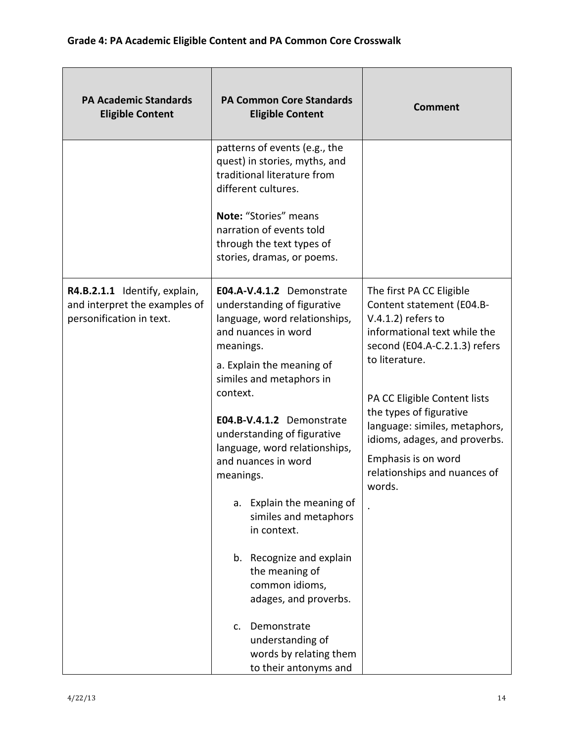| <b>PA Academic Standards</b><br><b>Eligible Content</b>                                    | <b>PA Common Core Standards</b><br><b>Eligible Content</b>                                                                                                                                                                                                                                                                                                                                                                                                                                                                                                                                    | <b>Comment</b>                                                                                                                                                                                                                                                                                                                                                  |
|--------------------------------------------------------------------------------------------|-----------------------------------------------------------------------------------------------------------------------------------------------------------------------------------------------------------------------------------------------------------------------------------------------------------------------------------------------------------------------------------------------------------------------------------------------------------------------------------------------------------------------------------------------------------------------------------------------|-----------------------------------------------------------------------------------------------------------------------------------------------------------------------------------------------------------------------------------------------------------------------------------------------------------------------------------------------------------------|
|                                                                                            | patterns of events (e.g., the<br>quest) in stories, myths, and<br>traditional literature from<br>different cultures.<br>Note: "Stories" means<br>narration of events told<br>through the text types of<br>stories, dramas, or poems.                                                                                                                                                                                                                                                                                                                                                          |                                                                                                                                                                                                                                                                                                                                                                 |
| R4.B.2.1.1 Identify, explain,<br>and interpret the examples of<br>personification in text. | E04.A-V.4.1.2 Demonstrate<br>understanding of figurative<br>language, word relationships,<br>and nuances in word<br>meanings.<br>a. Explain the meaning of<br>similes and metaphors in<br>context.<br>E04.B-V.4.1.2 Demonstrate<br>understanding of figurative<br>language, word relationships,<br>and nuances in word<br>meanings.<br>a. Explain the meaning of<br>similes and metaphors<br>in context.<br>b. Recognize and explain<br>the meaning of<br>common idioms,<br>adages, and proverbs.<br>Demonstrate<br>c.<br>understanding of<br>words by relating them<br>to their antonyms and | The first PA CC Eligible<br>Content statement (E04.B-<br>$V.4.1.2$ ) refers to<br>informational text while the<br>second (E04.A-C.2.1.3) refers<br>to literature.<br>PA CC Eligible Content lists<br>the types of figurative<br>language: similes, metaphors,<br>idioms, adages, and proverbs.<br>Emphasis is on word<br>relationships and nuances of<br>words. |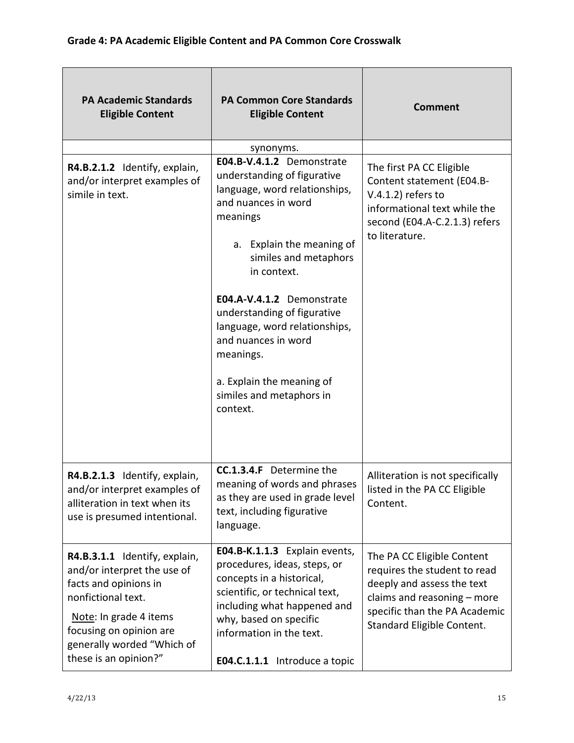| <b>PA Academic Standards</b><br><b>Eligible Content</b>                                                                                                                                                                 | <b>PA Common Core Standards</b><br><b>Eligible Content</b>                                                                                                                                                                                                                                                                                                                                              | <b>Comment</b>                                                                                                                                                                         |
|-------------------------------------------------------------------------------------------------------------------------------------------------------------------------------------------------------------------------|---------------------------------------------------------------------------------------------------------------------------------------------------------------------------------------------------------------------------------------------------------------------------------------------------------------------------------------------------------------------------------------------------------|----------------------------------------------------------------------------------------------------------------------------------------------------------------------------------------|
|                                                                                                                                                                                                                         | synonyms.                                                                                                                                                                                                                                                                                                                                                                                               |                                                                                                                                                                                        |
| R4.B.2.1.2 Identify, explain,<br>and/or interpret examples of<br>simile in text.                                                                                                                                        | E04.B-V.4.1.2 Demonstrate<br>understanding of figurative<br>language, word relationships,<br>and nuances in word<br>meanings<br>a. Explain the meaning of<br>similes and metaphors<br>in context.<br>E04.A-V.4.1.2 Demonstrate<br>understanding of figurative<br>language, word relationships,<br>and nuances in word<br>meanings.<br>a. Explain the meaning of<br>similes and metaphors in<br>context. | The first PA CC Eligible<br>Content statement (E04.B-<br>$V.4.1.2$ ) refers to<br>informational text while the<br>second (E04.A-C.2.1.3) refers<br>to literature.                      |
| R4.B.2.1.3 Identify, explain,<br>and/or interpret examples of<br>alliteration in text when its<br>use is presumed intentional.                                                                                          | <b>CC.1.3.4.F</b> Determine the<br>meaning of words and phrases<br>as they are used in grade level<br>text, including figurative<br>language.                                                                                                                                                                                                                                                           | Alliteration is not specifically<br>listed in the PA CC Eligible<br>Content.                                                                                                           |
| R4.B.3.1.1 Identify, explain,<br>and/or interpret the use of<br>facts and opinions in<br>nonfictional text.<br>Note: In grade 4 items<br>focusing on opinion are<br>generally worded "Which of<br>these is an opinion?" | E04.B-K.1.1.3 Explain events,<br>procedures, ideas, steps, or<br>concepts in a historical,<br>scientific, or technical text,<br>including what happened and<br>why, based on specific<br>information in the text.<br>E04.C.1.1.1 Introduce a topic                                                                                                                                                      | The PA CC Eligible Content<br>requires the student to read<br>deeply and assess the text<br>claims and reasoning - more<br>specific than the PA Academic<br>Standard Eligible Content. |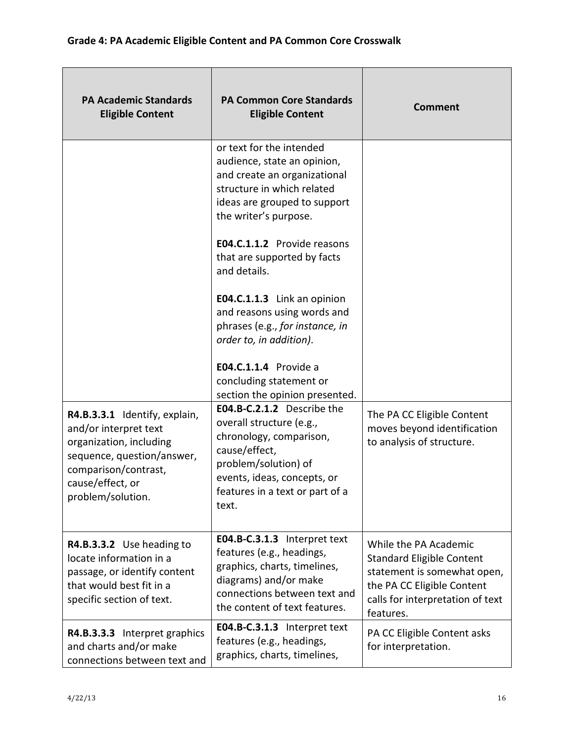| <b>PA Academic Standards</b><br><b>Eligible Content</b>                                                                                                                          | <b>PA Common Core Standards</b><br><b>Eligible Content</b>                                                                                                                                            | <b>Comment</b>                                                                                                                                                          |
|----------------------------------------------------------------------------------------------------------------------------------------------------------------------------------|-------------------------------------------------------------------------------------------------------------------------------------------------------------------------------------------------------|-------------------------------------------------------------------------------------------------------------------------------------------------------------------------|
|                                                                                                                                                                                  | or text for the intended<br>audience, state an opinion,<br>and create an organizational<br>structure in which related<br>ideas are grouped to support<br>the writer's purpose.                        |                                                                                                                                                                         |
|                                                                                                                                                                                  | E04.C.1.1.2 Provide reasons<br>that are supported by facts<br>and details.                                                                                                                            |                                                                                                                                                                         |
|                                                                                                                                                                                  | E04.C.1.1.3 Link an opinion<br>and reasons using words and<br>phrases (e.g., for instance, in<br>order to, in addition).                                                                              |                                                                                                                                                                         |
|                                                                                                                                                                                  | <b>E04.C.1.1.4</b> Provide a<br>concluding statement or<br>section the opinion presented.                                                                                                             |                                                                                                                                                                         |
| R4.B.3.3.1 Identify, explain,<br>and/or interpret text<br>organization, including<br>sequence, question/answer,<br>comparison/contrast,<br>cause/effect, or<br>problem/solution. | E04.B-C.2.1.2 Describe the<br>overall structure (e.g.,<br>chronology, comparison,<br>cause/effect,<br>problem/solution) of<br>events, ideas, concepts, or<br>features in a text or part of a<br>text. | The PA CC Eligible Content<br>moves beyond identification<br>to analysis of structure.                                                                                  |
| R4.B.3.3.2 Use heading to<br>locate information in a<br>passage, or identify content<br>that would best fit in a<br>specific section of text.                                    | E04.B-C.3.1.3 Interpret text<br>features (e.g., headings,<br>graphics, charts, timelines,<br>diagrams) and/or make<br>connections between text and<br>the content of text features.                   | While the PA Academic<br><b>Standard Eligible Content</b><br>statement is somewhat open,<br>the PA CC Eligible Content<br>calls for interpretation of text<br>features. |
| R4.B.3.3.3 Interpret graphics<br>and charts and/or make<br>connections between text and                                                                                          | E04.B-C.3.1.3 Interpret text<br>features (e.g., headings,<br>graphics, charts, timelines,                                                                                                             | PA CC Eligible Content asks<br>for interpretation.                                                                                                                      |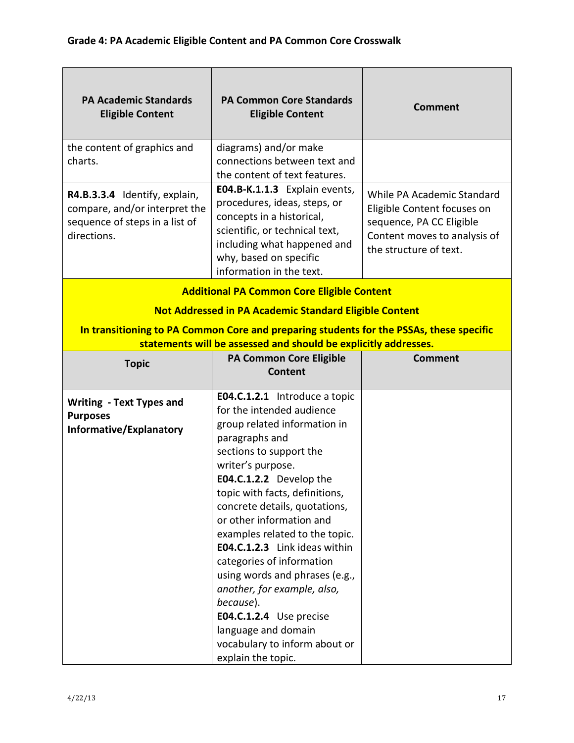| <b>PA Academic Standards</b><br><b>Eligible Content</b>                                                                                                    | <b>PA Common Core Standards</b><br><b>Eligible Content</b>                                                                                                                                                                                                                                                                                                                                                                                                                                                                                                                           | <b>Comment</b>                                                                                                                                  |  |
|------------------------------------------------------------------------------------------------------------------------------------------------------------|--------------------------------------------------------------------------------------------------------------------------------------------------------------------------------------------------------------------------------------------------------------------------------------------------------------------------------------------------------------------------------------------------------------------------------------------------------------------------------------------------------------------------------------------------------------------------------------|-------------------------------------------------------------------------------------------------------------------------------------------------|--|
| the content of graphics and<br>charts.                                                                                                                     | diagrams) and/or make<br>connections between text and<br>the content of text features.                                                                                                                                                                                                                                                                                                                                                                                                                                                                                               |                                                                                                                                                 |  |
| R4.B.3.3.4 Identify, explain,<br>compare, and/or interpret the<br>sequence of steps in a list of<br>directions.                                            | E04.B-K.1.1.3 Explain events,<br>procedures, ideas, steps, or<br>concepts in a historical,<br>scientific, or technical text,<br>including what happened and<br>why, based on specific<br>information in the text.                                                                                                                                                                                                                                                                                                                                                                    | While PA Academic Standard<br>Eligible Content focuses on<br>sequence, PA CC Eligible<br>Content moves to analysis of<br>the structure of text. |  |
|                                                                                                                                                            | <b>Additional PA Common Core Eligible Content</b>                                                                                                                                                                                                                                                                                                                                                                                                                                                                                                                                    |                                                                                                                                                 |  |
|                                                                                                                                                            | <b>Not Addressed in PA Academic Standard Eligible Content</b>                                                                                                                                                                                                                                                                                                                                                                                                                                                                                                                        |                                                                                                                                                 |  |
| In transitioning to PA Common Core and preparing students for the PSSAs, these specific<br>statements will be assessed and should be explicitly addresses. |                                                                                                                                                                                                                                                                                                                                                                                                                                                                                                                                                                                      |                                                                                                                                                 |  |
| <b>Topic</b>                                                                                                                                               | <b>PA Common Core Eligible</b><br>Content                                                                                                                                                                                                                                                                                                                                                                                                                                                                                                                                            | <b>Comment</b>                                                                                                                                  |  |
| <b>Writing - Text Types and</b><br><b>Purposes</b><br>Informative/Explanatory                                                                              | <b>E04.C.1.2.1</b> Introduce a topic<br>for the intended audience<br>group related information in<br>paragraphs and<br>sections to support the<br>writer's purpose.<br>E04.C.1.2.2 Develop the<br>topic with facts, definitions,<br>concrete details, quotations,<br>or other information and<br>examples related to the topic.<br>E04.C.1.2.3 Link ideas within<br>categories of information<br>using words and phrases (e.g.,<br>another, for example, also,<br>because).<br>E04.C.1.2.4 Use precise<br>language and domain<br>vocabulary to inform about or<br>explain the topic. |                                                                                                                                                 |  |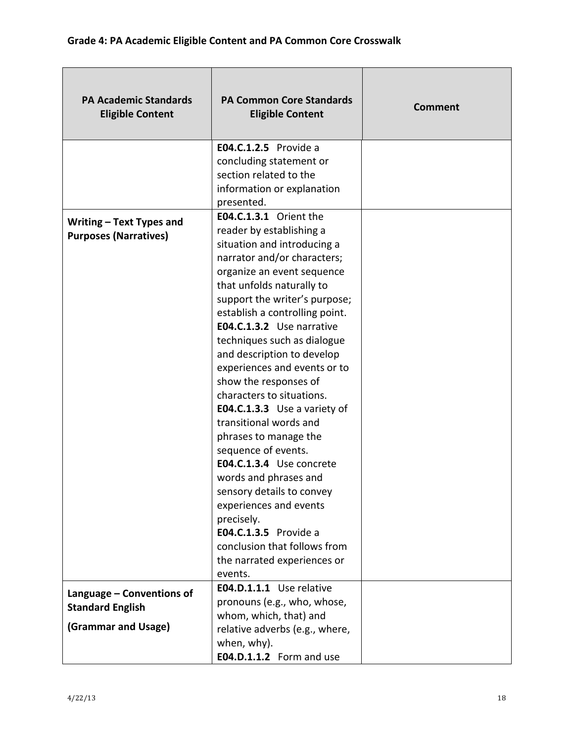| <b>PA Academic Standards</b><br><b>Eligible Content</b> | <b>PA Common Core Standards</b><br><b>Eligible Content</b> | <b>Comment</b> |
|---------------------------------------------------------|------------------------------------------------------------|----------------|
|                                                         | <b>E04.C.1.2.5</b> Provide a                               |                |
|                                                         | concluding statement or                                    |                |
|                                                         | section related to the                                     |                |
|                                                         | information or explanation                                 |                |
|                                                         | presented.<br>E04.C.1.3.1 Orient the                       |                |
| Writing - Text Types and                                | reader by establishing a                                   |                |
| <b>Purposes (Narratives)</b>                            | situation and introducing a                                |                |
|                                                         | narrator and/or characters;                                |                |
|                                                         | organize an event sequence                                 |                |
|                                                         | that unfolds naturally to                                  |                |
|                                                         | support the writer's purpose;                              |                |
|                                                         | establish a controlling point.                             |                |
|                                                         | E04.C.1.3.2 Use narrative                                  |                |
|                                                         | techniques such as dialogue                                |                |
|                                                         | and description to develop                                 |                |
|                                                         | experiences and events or to                               |                |
|                                                         | show the responses of                                      |                |
|                                                         | characters to situations.                                  |                |
|                                                         | E04.C.1.3.3 Use a variety of                               |                |
|                                                         | transitional words and                                     |                |
|                                                         | phrases to manage the                                      |                |
|                                                         | sequence of events.                                        |                |
|                                                         | E04.C.1.3.4 Use concrete                                   |                |
|                                                         | words and phrases and                                      |                |
|                                                         | sensory details to convey                                  |                |
|                                                         | experiences and events                                     |                |
|                                                         | precisely.<br>E04.C.1.3.5 Provide a                        |                |
|                                                         | conclusion that follows from                               |                |
|                                                         |                                                            |                |
|                                                         | the narrated experiences or<br>events.                     |                |
|                                                         | E04.D.1.1.1 Use relative                                   |                |
| Language - Conventions of                               | pronouns (e.g., who, whose,                                |                |
| <b>Standard English</b>                                 | whom, which, that) and                                     |                |
| (Grammar and Usage)                                     | relative adverbs (e.g., where,                             |                |
|                                                         | when, why).                                                |                |
|                                                         | E04.D.1.1.2 Form and use                                   |                |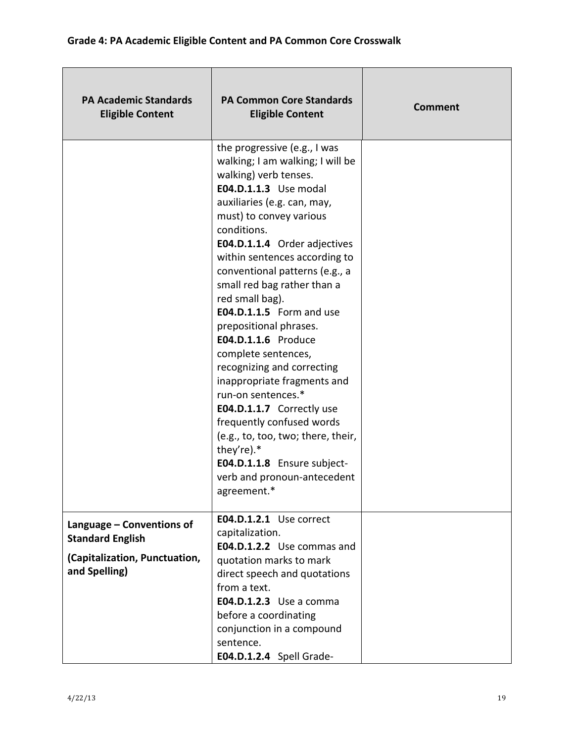| <b>PA Academic Standards</b><br><b>Eligible Content</b>                                                | <b>PA Common Core Standards</b><br><b>Eligible Content</b>                                                                                                                                                                                                                                                                                                                                                                                                                                                                                                                                                                                                                                                                                | <b>Comment</b> |
|--------------------------------------------------------------------------------------------------------|-------------------------------------------------------------------------------------------------------------------------------------------------------------------------------------------------------------------------------------------------------------------------------------------------------------------------------------------------------------------------------------------------------------------------------------------------------------------------------------------------------------------------------------------------------------------------------------------------------------------------------------------------------------------------------------------------------------------------------------------|----------------|
|                                                                                                        | the progressive (e.g., I was<br>walking; I am walking; I will be<br>walking) verb tenses.<br><b>E04.D.1.1.3</b> Use modal<br>auxiliaries (e.g. can, may,<br>must) to convey various<br>conditions.<br>E04.D.1.1.4 Order adjectives<br>within sentences according to<br>conventional patterns (e.g., a<br>small red bag rather than a<br>red small bag).<br>E04.D.1.1.5 Form and use<br>prepositional phrases.<br>E04.D.1.1.6 Produce<br>complete sentences,<br>recognizing and correcting<br>inappropriate fragments and<br>run-on sentences.*<br>E04.D.1.1.7 Correctly use<br>frequently confused words<br>(e.g., to, too, two; there, their,<br>they're).*<br>E04.D.1.1.8 Ensure subject-<br>verb and pronoun-antecedent<br>agreement.* |                |
| Language - Conventions of<br><b>Standard English</b><br>(Capitalization, Punctuation,<br>and Spelling) | E04.D.1.2.1 Use correct<br>capitalization.<br>E04.D.1.2.2 Use commas and<br>quotation marks to mark<br>direct speech and quotations<br>from a text.<br><b>E04.D.1.2.3</b> Use a comma<br>before a coordinating<br>conjunction in a compound<br>sentence.<br>E04.D.1.2.4 Spell Grade-                                                                                                                                                                                                                                                                                                                                                                                                                                                      |                |